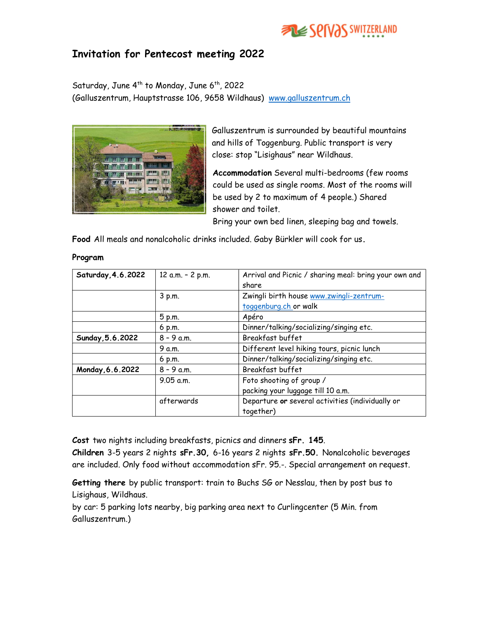

## Invitation for Pentecost meeting 2022

Saturday, June  $4^{th}$  to Monday, June  $6^{th}$ , 2022 (Galluszentrum, Hauptstrasse 106, 9658 Wildhaus) www.galluszentrum.ch



Galluszentrum is surrounded by beautiful mountains and hills of Toggenburg. Public transport is very close: stop "Lisighaus" near Wildhaus.

Accommodation Several multi-bedrooms (few rooms could be used as single rooms. Most of the rooms will be used by 2 to maximum of 4 people.) Shared shower and toilet.

Bring your own bed linen, sleeping bag and towels.

Food All meals and nonalcoholic drinks included. Gaby Bürkler will cook for us.

| Saturday, 4.6.2022 | 12 a.m. - 2 p.m. | Arrival and Picnic / sharing meal: bring your own and |
|--------------------|------------------|-------------------------------------------------------|
|                    |                  | share                                                 |
|                    | 3 p.m.           | Zwingli birth house www.zwingli-zentrum-              |
|                    |                  | toggenburg.ch or walk                                 |
|                    | 5 p.m.           | Apéro                                                 |
|                    | 6 p.m.           | Dinner/talking/socializing/singing etc.               |
| Sunday, 5.6.2022   | $8 - 9$ a.m.     | Breakfast buffet                                      |
|                    | 9 a.m.           | Different level hiking tours, picnic lunch            |
|                    | $6$ p.m.         | Dinner/talking/socializing/singing etc.               |
| Monday, 6.6.2022   | $8 - 9$ a.m.     | Breakfast buffet                                      |
|                    | $9.05$ a.m.      | Foto shooting of group /                              |
|                    |                  | packing your luggage till 10 a.m.                     |
|                    | afterwards       | Departure or several activities (individually or      |
|                    |                  | together)                                             |

## Program

Cost two nights including breakfasts, picnics and dinners sFr. 145.

Children 3-5 years 2 nights sFr.30, 6-16 years 2 nights sFr.50. Nonalcoholic beverages are included. Only food without accommodation sFr. 95.-. Special arrangement on request.

Getting there by public transport: train to Buchs SG or Nesslau, then by post bus to Lisighaus, Wildhaus.

by car: 5 parking lots nearby, big parking area next to Curlingcenter (5 Min. from Galluszentrum.)